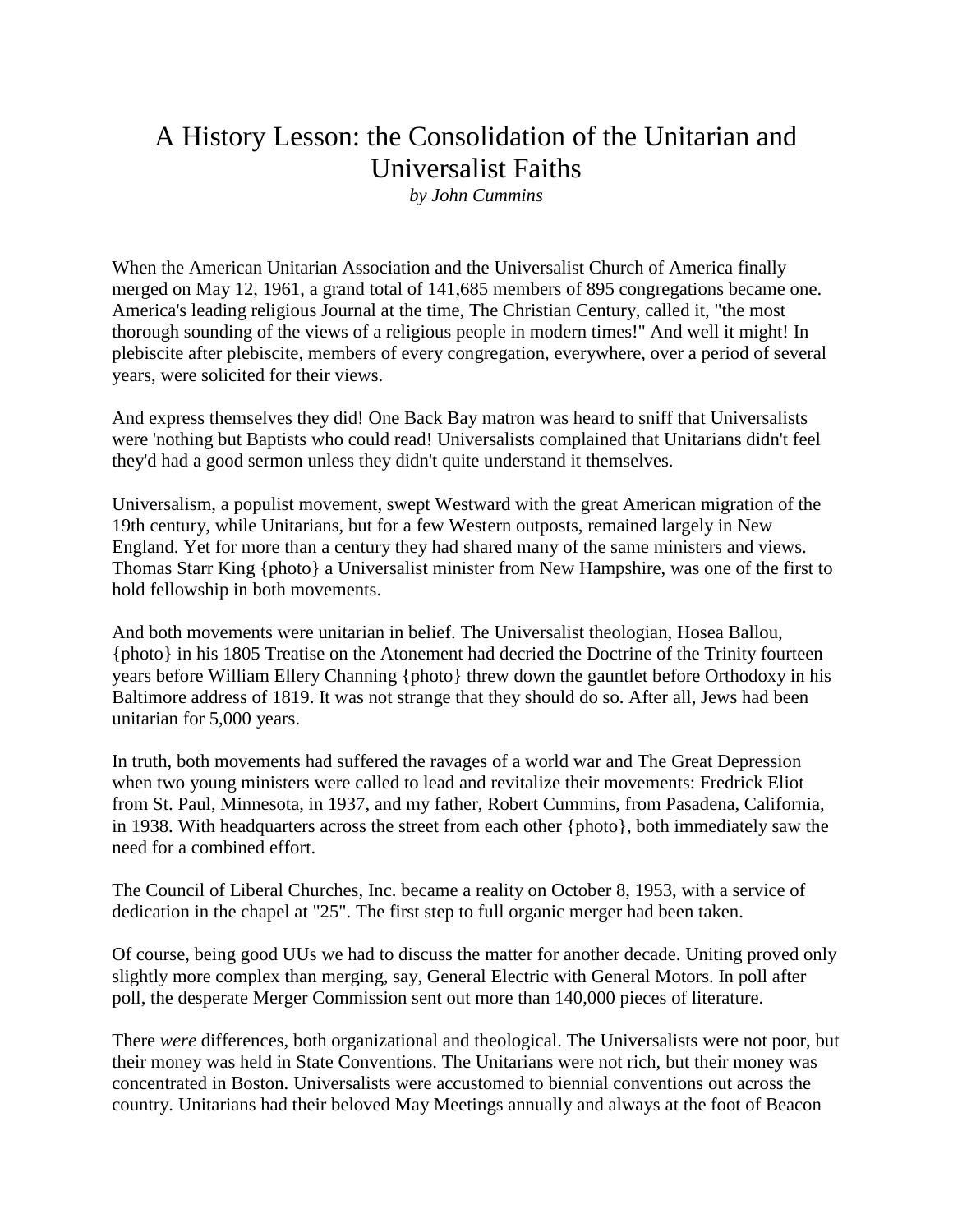## A History Lesson: the Consolidation of the Unitarian and Universalist Faiths

*by John Cummins*

When the American Unitarian Association and the Universalist Church of America finally merged on May 12, 1961, a grand total of 141,685 members of 895 congregations became one. America's leading religious Journal at the time, The Christian Century, called it, "the most thorough sounding of the views of a religious people in modern times!" And well it might! In plebiscite after plebiscite, members of every congregation, everywhere, over a period of several years, were solicited for their views.

And express themselves they did! One Back Bay matron was heard to sniff that Universalists were 'nothing but Baptists who could read! Universalists complained that Unitarians didn't feel they'd had a good sermon unless they didn't quite understand it themselves.

Universalism, a populist movement, swept Westward with the great American migration of the 19th century, while Unitarians, but for a few Western outposts, remained largely in New England. Yet for more than a century they had shared many of the same ministers and views. Thomas Starr King {photo} a Universalist minister from New Hampshire, was one of the first to hold fellowship in both movements.

And both movements were unitarian in belief. The Universalist theologian, Hosea Ballou, {photo} in his 1805 Treatise on the Atonement had decried the Doctrine of the Trinity fourteen years before William Ellery Channing {photo} threw down the gauntlet before Orthodoxy in his Baltimore address of 1819. It was not strange that they should do so. After all, Jews had been unitarian for 5,000 years.

In truth, both movements had suffered the ravages of a world war and The Great Depression when two young ministers were called to lead and revitalize their movements: Fredrick Eliot from St. Paul, Minnesota, in 1937, and my father, Robert Cummins, from Pasadena, California, in 1938. With headquarters across the street from each other {photo}, both immediately saw the need for a combined effort.

The Council of Liberal Churches, Inc. became a reality on October 8, 1953, with a service of dedication in the chapel at "25". The first step to full organic merger had been taken.

Of course, being good UUs we had to discuss the matter for another decade. Uniting proved only slightly more complex than merging, say, General Electric with General Motors. In poll after poll, the desperate Merger Commission sent out more than 140,000 pieces of literature.

There *were* differences, both organizational and theological. The Universalists were not poor, but their money was held in State Conventions. The Unitarians were not rich, but their money was concentrated in Boston. Universalists were accustomed to biennial conventions out across the country. Unitarians had their beloved May Meetings annually and always at the foot of Beacon